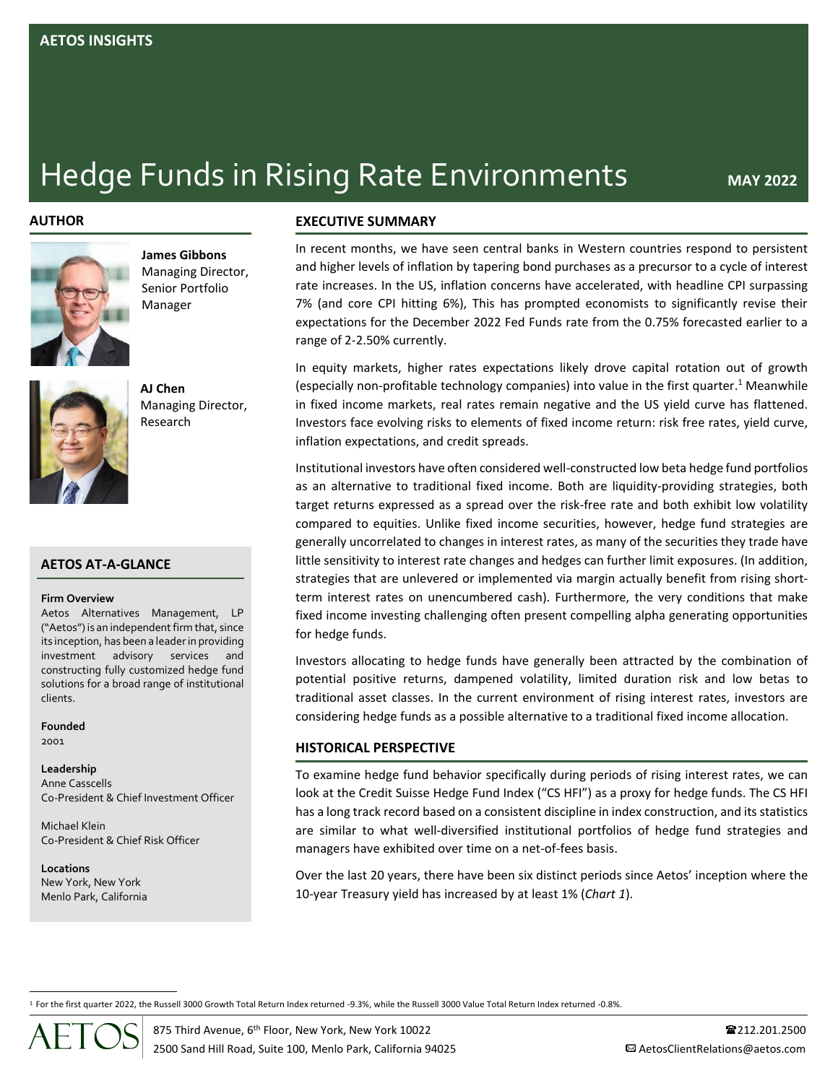# **Hedge Funds in Rising Rate Environments** MAY 2022

## **AUTHOR**



**James Gibbons** Managing Director, Senior Portfolio Manager



**AJ Chen** Managing Director, Research

# **AETOS AT-A-GLANCE**

#### **Firm Overview**

Aetos Alternatives Management, LP ("Aetos") is an independent firm that, since its inception, has been a leaderin providing investment advisory services and constructing fully customized hedge fund solutions for a broad range of institutional clients.

#### **Founded** 2001

# **Leadership** Anne Casscells

Co-President & Chief Investment Officer

Michael Klein Co-President & Chief Risk Officer

**Locations** New York, New York Menlo Park, California

## **EXECUTIVE SUMMARY**

In recent months, we have seen central banks in Western countries respond to persistent and higher levels of inflation by tapering bond purchases as a precursor to a cycle of interest rate increases. In the US, inflation concerns have accelerated, with headline CPI surpassing 7% (and core CPI hitting 6%), This has prompted economists to significantly revise their expectations for the December 2022 Fed Funds rate from the 0.75% forecasted earlier to a range of 2-2.50% currently.

In equity markets, higher rates expectations likely drove capital rotation out of growth (especially non-profitable technology companies) into value in the first quarter. <sup>1</sup> Meanwhile in fixed income markets, real rates remain negative and the US yield curve has flattened. Investors face evolving risks to elements of fixed income return: risk free rates, yield curve, inflation expectations, and credit spreads.

Institutional investors have often considered well-constructed low beta hedge fund portfolios as an alternative to traditional fixed income. Both are liquidity-providing strategies, both target returns expressed as a spread over the risk-free rate and both exhibit low volatility compared to equities. Unlike fixed income securities, however, hedge fund strategies are generally uncorrelated to changes in interest rates, as many of the securities they trade have little sensitivity to interest rate changes and hedges can further limit exposures. (In addition, strategies that are unlevered or implemented via margin actually benefit from rising shortterm interest rates on unencumbered cash). Furthermore, the very conditions that make fixed income investing challenging often present compelling alpha generating opportunities for hedge funds.

Investors allocating to hedge funds have generally been attracted by the combination of potential positive returns, dampened volatility, limited duration risk and low betas to traditional asset classes. In the current environment of rising interest rates, investors are considering hedge funds as a possible alternative to a traditional fixed income allocation.

# **HISTORICAL PERSPECTIVE**

To examine hedge fund behavior specifically during periods of rising interest rates, we can look at the Credit Suisse Hedge Fund Index ("CS HFI") as a proxy for hedge funds. The CS HFI has a long track record based on a consistent discipline in index construction, and its statistics are similar to what well-diversified institutional portfolios of hedge fund strategies and managers have exhibited over time on a net-of-fees basis.

Over the last 20 years, there have been six distinct periods since Aetos' inception where the 10-year Treasury yield has increased by at least 1% (*Chart 1*).

<sup>1</sup> For the first quarter 2022, the Russell 3000 Growth Total Return Index returned -9.3%, while the Russell 3000 Value Total Return Index returned -0.8%.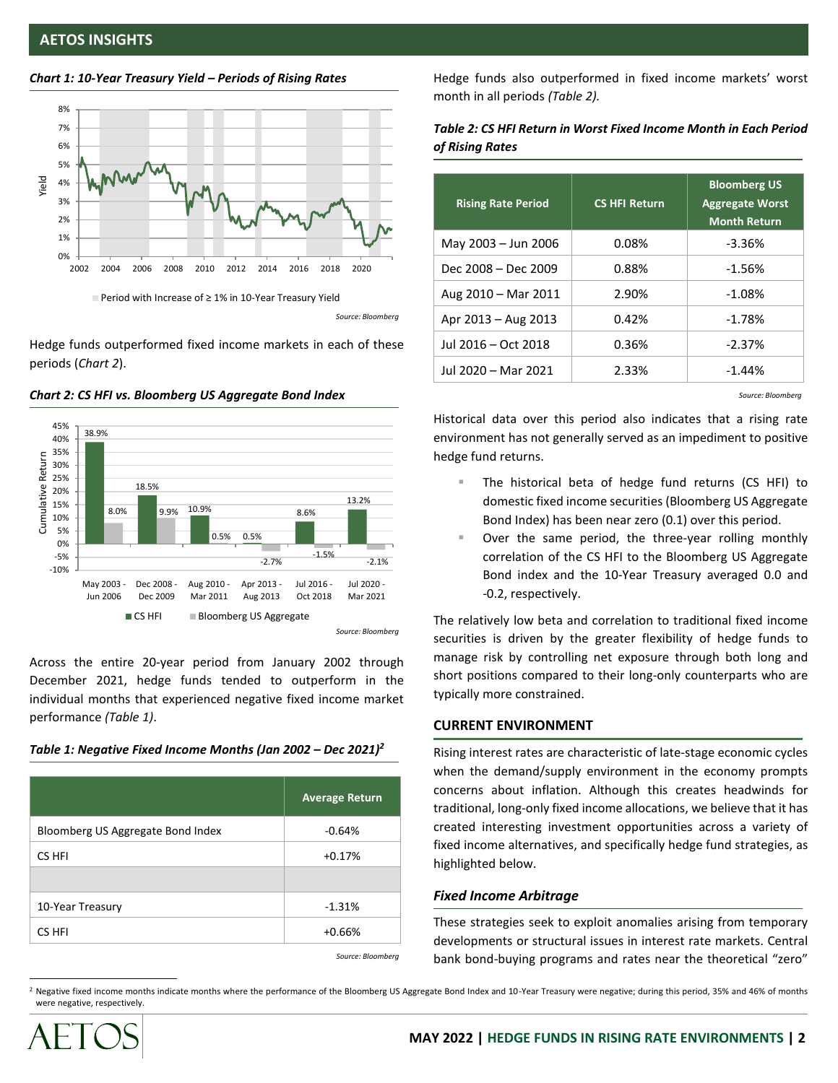



Hedge funds outperformed fixed income markets in each of these periods (*Chart 2*).





Across the entire 20-year period from January 2002 through December 2021, hedge funds tended to outperform in the individual months that experienced negative fixed income market performance *(Table 1)*.

## *Table 1: Negative Fixed Income Months (Jan 2002 – Dec 2021) 2*

|                                   | <b>Average Return</b> |
|-----------------------------------|-----------------------|
| Bloomberg US Aggregate Bond Index | $-0.64%$              |
| CS HFI                            | $+0.17%$              |
|                                   |                       |
| 10-Year Treasury                  | $-1.31%$              |
| CS HFI                            | $+0.66%$              |

Hedge funds also outperformed in fixed income markets' worst month in all periods *(Table 2).*

# *Table 2: CS HFI Return in Worst Fixed Income Month in Each Period of Rising Rates*

| <b>Rising Rate Period</b> | <b>CS HFI Return</b> | <b>Bloomberg US</b><br><b>Aggregate Worst</b><br><b>Month Return</b> |
|---------------------------|----------------------|----------------------------------------------------------------------|
| May 2003 - Jun 2006       | 0.08%                | $-3.36%$                                                             |
| Dec 2008 - Dec 2009       | 0.88%                | $-1.56%$                                                             |
| Aug 2010 - Mar 2011       | 2.90%                | $-1.08%$                                                             |
| Apr 2013 - Aug 2013       | 0.42%                | $-1.78%$                                                             |
| Jul 2016 - Oct 2018       | 0.36%                | $-2.37%$                                                             |
| Jul 2020 - Mar 2021       | 2.33%                | $-1.44%$                                                             |

*Source: Bloomberg*

Historical data over this period also indicates that a rising rate environment has not generally served as an impediment to positive hedge fund returns.

- The historical beta of hedge fund returns (CS HFI) to domestic fixed income securities (Bloomberg US Aggregate Bond Index) has been near zero (0.1) over this period.
- Over the same period, the three-year rolling monthly correlation of the CS HFI to the Bloomberg US Aggregate Bond index and the 10-Year Treasury averaged 0.0 and -0.2, respectively.

The relatively low beta and correlation to traditional fixed income securities is driven by the greater flexibility of hedge funds to manage risk by controlling net exposure through both long and short positions compared to their long-only counterparts who are typically more constrained.

# **CURRENT ENVIRONMENT**

Rising interest rates are characteristic of late-stage economic cycles when the demand/supply environment in the economy prompts concerns about inflation. Although this creates headwinds for traditional, long-only fixed income allocations, we believe that it has created interesting investment opportunities across a variety of fixed income alternatives, and specifically hedge fund strategies, as highlighted below.

# *Fixed Income Arbitrage*

These strategies seek to exploit anomalies arising from temporary developments or structural issues in interest rate markets. Central bank bond-buying programs and rates near the theoretical "zero" *Source: Bloomberg*

<sup>2</sup> Negative fixed income months indicate months where the performance of the Bloomberg US Aggregate Bond Index and 10-Year Treasury were negative; during this period, 35% and 46% of months were negative, respectively.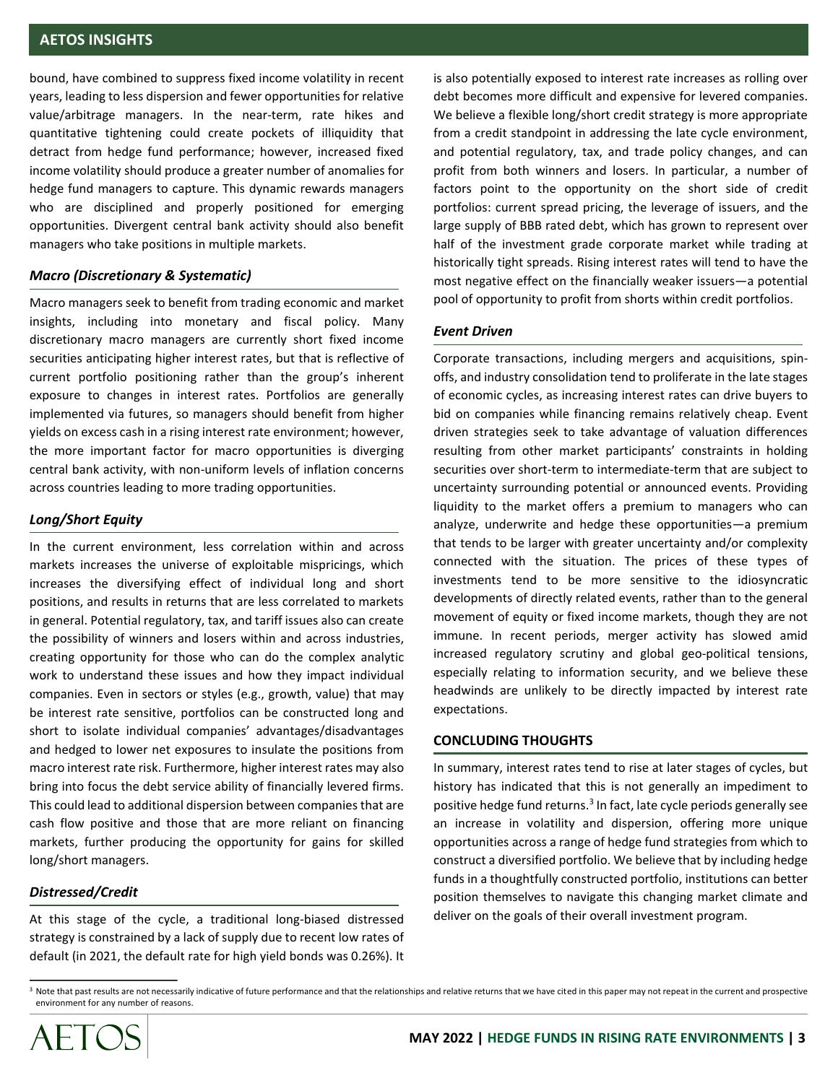bound, have combined to suppress fixed income volatility in recent years, leading to less dispersion and fewer opportunities for relative value/arbitrage managers. In the near-term, rate hikes and quantitative tightening could create pockets of illiquidity that detract from hedge fund performance; however, increased fixed income volatility should produce a greater number of anomalies for hedge fund managers to capture. This dynamic rewards managers who are disciplined and properly positioned for emerging opportunities. Divergent central bank activity should also benefit managers who take positions in multiple markets.

# *Macro (Discretionary & Systematic)*

Macro managers seek to benefit from trading economic and market insights, including into monetary and fiscal policy. Many discretionary macro managers are currently short fixed income securities anticipating higher interest rates, but that is reflective of current portfolio positioning rather than the group's inherent exposure to changes in interest rates. Portfolios are generally implemented via futures, so managers should benefit from higher yields on excess cash in a rising interest rate environment; however, the more important factor for macro opportunities is diverging central bank activity, with non-uniform levels of inflation concerns across countries leading to more trading opportunities.

# *Long/Short Equity*

In the current environment, less correlation within and across markets increases the universe of exploitable mispricings, which increases the diversifying effect of individual long and short positions, and results in returns that are less correlated to markets in general. Potential regulatory, tax, and tariff issues also can create the possibility of winners and losers within and across industries, creating opportunity for those who can do the complex analytic work to understand these issues and how they impact individual companies. Even in sectors or styles (e.g., growth, value) that may be interest rate sensitive, portfolios can be constructed long and short to isolate individual companies' advantages/disadvantages and hedged to lower net exposures to insulate the positions from macro interest rate risk. Furthermore, higher interest rates may also bring into focus the debt service ability of financially levered firms. This could lead to additional dispersion between companies that are cash flow positive and those that are more reliant on financing markets, further producing the opportunity for gains for skilled long/short managers.

# *Distressed/Credit*

At this stage of the cycle, a traditional long-biased distressed strategy is constrained by a lack of supply due to recent low rates of default (in 2021, the default rate for high yield bonds was 0.26%). It is also potentially exposed to interest rate increases as rolling over debt becomes more difficult and expensive for levered companies. We believe a flexible long/short credit strategy is more appropriate from a credit standpoint in addressing the late cycle environment, and potential regulatory, tax, and trade policy changes, and can profit from both winners and losers. In particular, a number of factors point to the opportunity on the short side of credit portfolios: current spread pricing, the leverage of issuers, and the large supply of BBB rated debt, which has grown to represent over half of the investment grade corporate market while trading at historically tight spreads. Rising interest rates will tend to have the most negative effect on the financially weaker issuers—a potential pool of opportunity to profit from shorts within credit portfolios.

## *Event Driven*

Corporate transactions, including mergers and acquisitions, spinoffs, and industry consolidation tend to proliferate in the late stages of economic cycles, as increasing interest rates can drive buyers to bid on companies while financing remains relatively cheap. Event driven strategies seek to take advantage of valuation differences resulting from other market participants' constraints in holding securities over short-term to intermediate-term that are subject to uncertainty surrounding potential or announced events. Providing liquidity to the market offers a premium to managers who can analyze, underwrite and hedge these opportunities—a premium that tends to be larger with greater uncertainty and/or complexity connected with the situation. The prices of these types of investments tend to be more sensitive to the idiosyncratic developments of directly related events, rather than to the general movement of equity or fixed income markets, though they are not immune. In recent periods, merger activity has slowed amid increased regulatory scrutiny and global geo-political tensions, especially relating to information security, and we believe these headwinds are unlikely to be directly impacted by interest rate expectations.

## **CONCLUDING THOUGHTS**

In summary, interest rates tend to rise at later stages of cycles, but history has indicated that this is not generally an impediment to positive hedge fund returns.<sup>3</sup> In fact, late cycle periods generally see an increase in volatility and dispersion, offering more unique opportunities across a range of hedge fund strategies from which to construct a diversified portfolio. We believe that by including hedge funds in a thoughtfully constructed portfolio, institutions can better position themselves to navigate this changing market climate and deliver on the goals of their overall investment program.

<sup>&</sup>lt;sup>3</sup> Note that past results are not necessarily indicative of future performance and that the relationships and relative returns that we have cited in this paper may not repeat in the current and prospective environment for any number of reasons.